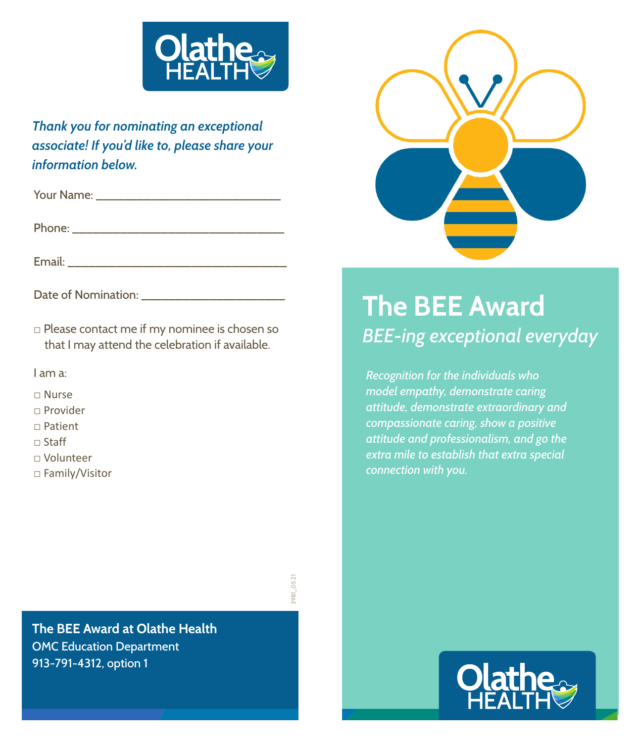

*Thank you for nominating an exceptional associate! If you'd like to, please share your information below.*

Your Name: \_\_\_\_\_\_\_\_\_\_\_\_\_\_\_\_\_\_\_\_\_\_\_\_\_\_\_

Phone: \_\_\_\_\_\_\_\_\_\_\_\_\_\_\_\_\_\_\_\_\_\_\_\_\_\_\_\_\_\_\_

Email: \_\_\_\_\_\_\_\_\_\_\_\_\_\_\_\_\_\_\_\_\_\_\_\_\_\_\_\_\_\_\_\_

Date of Nomination: \_\_\_\_\_\_\_\_\_\_\_\_\_\_\_\_\_\_\_\_\_

**□** Please contact me if my nominee is chosen so that I may attend the celebration if available.

I am a:

- **□** Nurse
- **□** Provider
- **□** Patient
- **□** Staff
- **□** Volunteer
- **□** Family/Visitor

981\_05.2 3981\_05.21

**The BEE Award at Olathe Health** OMC Education Department 913-791-4312, option 1



## **The BEE Award** *BEE-ing exceptional everyday*

*Recognition for the individuals who model empathy, demonstrate caring attitude, demonstrate extraordinary and compassionate caring, show a positive attitude and professionalism, and go the extra mile to establish that extra special connection with you.*